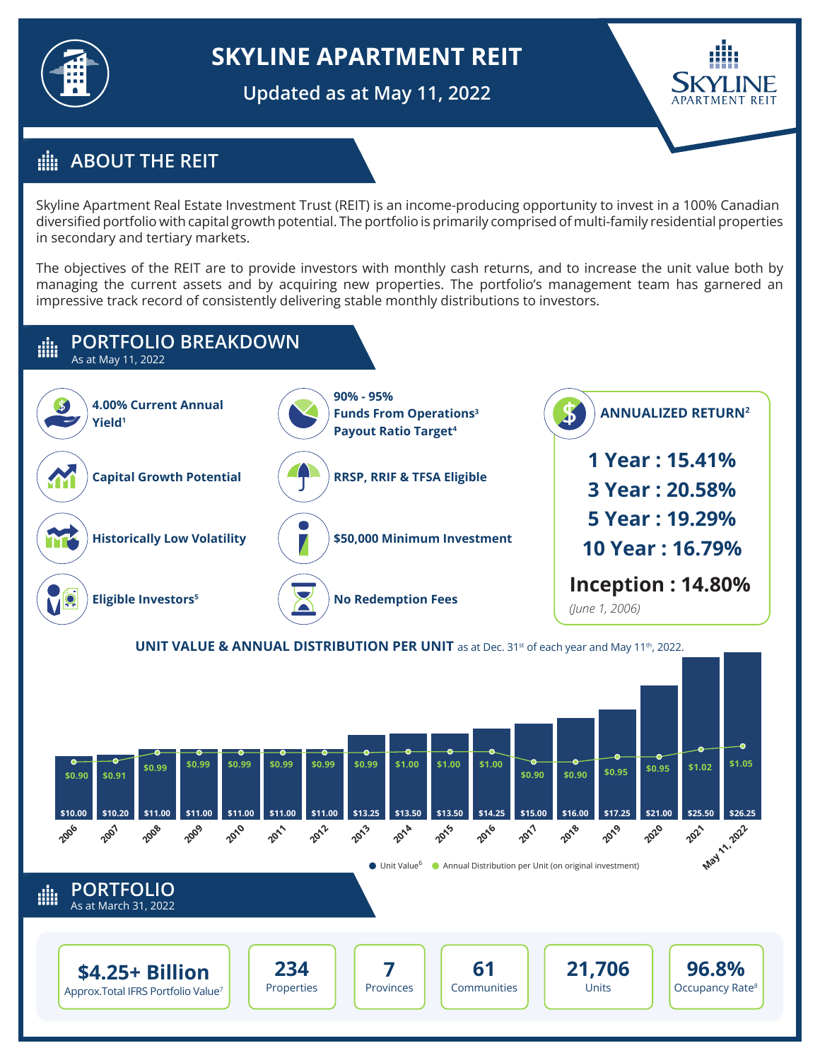

# **SKYLINE APARTMENT REIT**

**Updated as at May 11, 2022**



## **ABOUT THE REIT**

Skyline Apartment Real Estate Investment Trust (REIT) is an income-producing opportunity to invest in a 100% Canadian diversified portfolio with capital growth potential. The portfolio is primarily comprised of multi-family residential properties in secondary and tertiary markets.

The objectives of the REIT are to provide investors with monthly cash returns, and to increase the unit value both by managing the current assets and by acquiring new properties. The portfolio's management team has garnered an impressive track record of consistently delivering stable monthly distributions to investors.